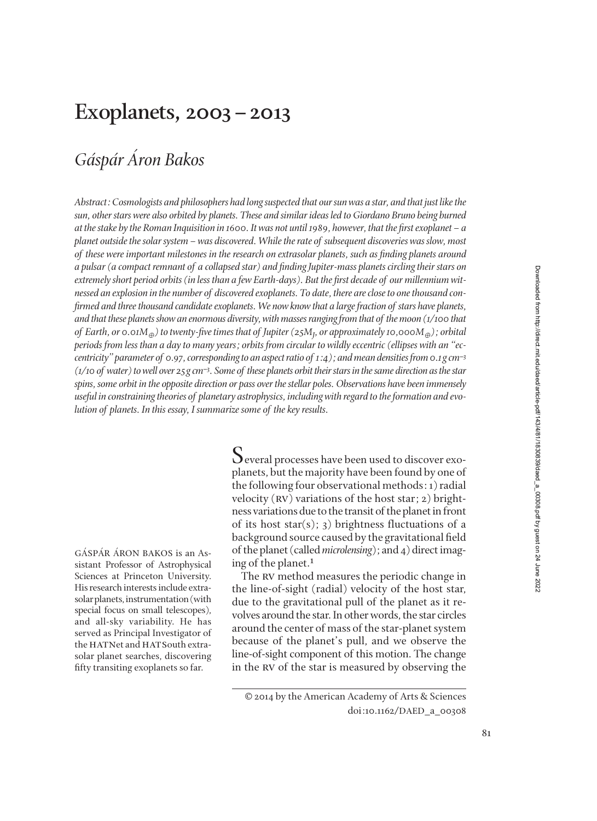# **Exoplanets, 2003–2013**

# *Gáspár Áron Bakos*

*Abstract: Cosmologists and philosophers had long suspected that our sun was a star, and that just like the sun, other stars were also orbited by planets. These and similar ideas led to Giordano Bruno being burned at the stake by the Roman Inquisition in 1600. It was not until 1989, however, that the first exoplanet – a planet outside the solar system–was discovered. While the rate of subsequent discoveries was slow, most of these were important milestones in the research on extrasolar planets, such as finding planets around a pulsar (a compact remnant of a collapsed star) and ½nding Jupiter-mass planets circling their stars on* extremely short period orbits (in less than a few Earth-days). But the first decade of our millennium wit*nessed an explosion in the number of discovered exoplanets. To date, there are close to one thousand con - ½rmed and three thousand candidate exoplanets. We now know that a large fraction of stars have planets, and that these planets show an enormous diversity, with masses ranging from that of the moon (1/100 that of Earth, or 0.01M*⊕*) to twenty-½ve times that of Jupiter (25M<sup>J</sup> , or approximately 10,000M*⊕*); orbital periods from less than a day to many years; orbits from circular to wildly eccentric (ellipses with an "ec centricity" parameter of 0.97, corresponding to an aspect ratio of 1:4); and mean densities from 0.1 g cm*−*<sup>3</sup> (1/10 of water) to well over 25 g cm*−*<sup>3</sup>. Some of these planets orbit their stars in the same direction as the star spins, some orbit in the opposite direction or pass over the stellar poles. Observations have been immensely useful in constraining theories of planetary astrophysics, including with regard to the formation and evolution of planets. In this essay, I summarize some of the key results.*

GÁSPÁR ÁRON BAKOS is an Assistant Professor of Astrophysical Sciences at Princeton University. His research interests include extrasolar planets, instrumentation (with special focus on small telescopes), and all-sky variability. He has served as Principal Investigator of the HATNet and HATSouth extrasolar planet searches, discovering fifty transiting exoplanets so far.

 $S$ everal processes have been used to discover exoplanets, but the majority have been found by one of the following four observational methods: 1) radial velocity (RV) variations of the host star; 2) brightness variations due to the transit of the planet in front of its host star(s); 3) brightness fluctuations of a back ground source caused by the gravitational field of the planet (called *microlensing*); and 4) direct imaging of the planet.1

The RV method measures the periodic change in the line-of-sight (radial) velocity of the host star, due to the gravitational pull of the planet as it revolves around the star. In other words, the star circles around the center of mass of the star-planet system because of the planet's pull, and we observe the line-of-sight component of this motion. The change in the rv of the star is measured by observing the

<sup>© 2014</sup> by the American Academy of Arts & Sciences doi:10.1162/DAED\_a\_00308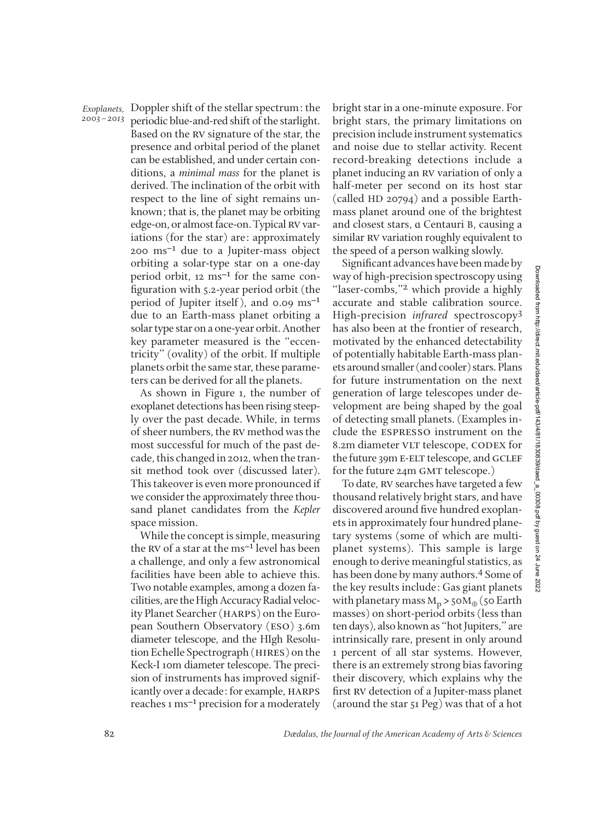*2003–2013*

periodic blue-and-red shift of the starlight. Based on the rv signature of the star, the presence and orbital period of the planet can be established, and under certain conditions, a *minimal mass* for the planet is derived. The inclination of the orbit with respect to the line of sight remains unknown; that is, the planet may be orbiting edge-on, or almost face-on. Typical RV variations (for the star) are: approximately 200 ms−1 due to a Jupiter-mass object orbiting a solar-type star on a one-day period orbit, 12 ms<sup>-1</sup> for the same configuration with 5.2-year period orbit (the period of Jupiter itself), and 0.09 ms<sup>-1</sup> due to an Earth-mass planet orbiting a solar type star on a one-year orbit. Another key parameter measured is the "eccentricity" (ovality) of the orbit. If multiple planets orbit the same star, these parameters can be derived for all the planets. *Exoplanets, Doppler shift of the stellar spectrum: the* 

> As shown in Figure 1, the number of exoplanet detections has been rising steep ly over the past decade. While, in terms of sheer numbers, the rv method was the most successful for much of the past decade, this changed in 2012, when the transit method took over (discussed later). This takeover is even more pronounced if we consider the approximately three thousand planet candidates from the *Kepler* space mission.

> While the concept is simple, measuring the rv of a star at the ms−1 level has been a challenge, and only a few astronomical facilities have been able to achieve this. Two notable examples, among a dozen facilities, are the High Accuracy Radial velocity Planet Searcher (harps) on the European Southern Observatory (eso) 3.6m diameter telescope, and the HIgh Resolution Echelle Spectrograph (hires) on the Keck-I 10m diameter telescope. The precision of instruments has improved significantly over a decade: for example, HARPS reaches 1 ms−1 precision for a moderately

Doppler shift of the stellar spectrum: the *b*right star in a one-minute exposure. For **For** bright stars, the primary limitations on precision include instrument systematics and noise due to stellar activity. Recent record-breaking detections include a planet inducing an rv variation of only a half-meter per second on its host star (called HD 20794) and a possible Earthmass planet around one of the brightest and closest stars, ɑ Centauri B, causing a similar RV variation roughly equivalent to the speed of a person walking slowly.

Significant advances have been made by way of high-precision spectroscopy using "laser-combs,"<sup>2</sup> which provide a highly accurate and stable calibration source. High-precision *infrared* spectroscopy3 has also been at the frontier of research, motivated by the enhanced detectability of potentially habitable Earth-mass planets around smaller (and cooler) stars. Plans for future instrumentation on the next generation of large telescopes under development are being shaped by the goal of detecting small planets. (Examples in clude the espresso instrument on the 8.2m diameter VLT telescope, CODEX for the future 39m E-ELT telescope, and GCLEF for the future 24m GMT telescope.)

To date, RV searches have targeted a few thousand relatively bright stars, and have discovered around five hundred exoplanets in approximately four hundred planetary systems (some of which are multiplanet systems). This sample is large enough to derive meaningful statistics, as has been done by many authors.<sup>4</sup> Some of the key results include: Gas giant planets with planetary mass  $M_p > 50M_{\oplus}$  (50 Earth masses) on short-period orbits (less than ten days), also known as "hot Jupiters," are intrinsically rare, present in only around 1 percent of all star systems. However, there is an extremely strong bias favoring their discovery, which explains why the first RV detection of a Jupiter-mass planet (around the star 51 Peg) was that of a hot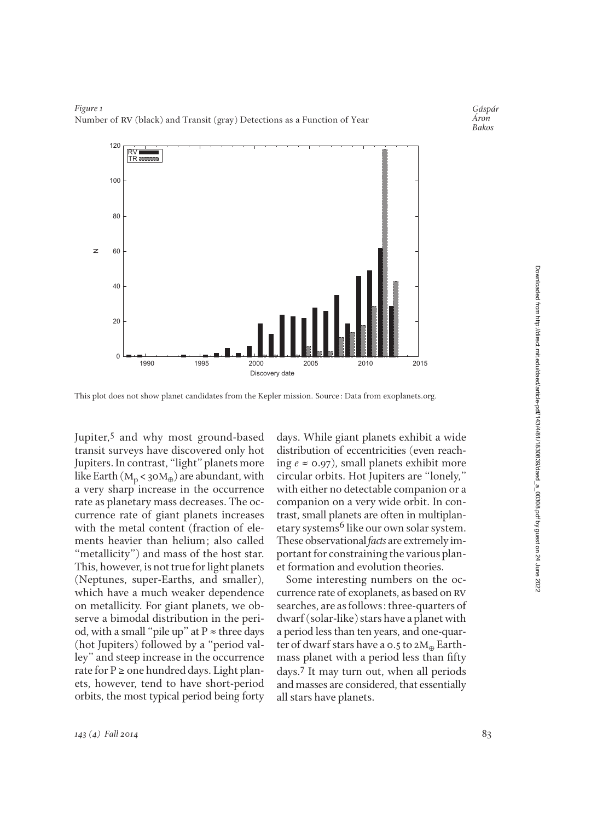

### *Figure 1* Number of RV (black) and Transit (gray) Detections as a Function of Year

This plot does not show planet candidates from the Kepler mission. Source: Data from exoplanets.org.

Jupiter,<sup>5</sup> and why most ground-based transit surveys have discovered only hot Jupiters. In contrast, "light" planets more like Earth ( $M_p < 30M_\oplus$ ) are abundant, with a very sharp increase in the occurrence rate as planetary mass decreases. The occurrence rate of giant planets increases with the metal content (fraction of elements heavier than helium; also called "metallicity") and mass of the host star. This, however, is not true for light planets (Neptunes, super-Earths, and smaller), which have a much weaker dependence on metallicity. For giant planets, we ob serve a bimodal distribution in the period, with a small "pile up" at  $P \approx$  three days (hot Jupiters) followed by a "period valley" and steep increase in the occurrence rate for  $P \ge$  one hundred days. Light planets, however, tend to have short-period orbits, the most typical period being forty

days. While giant planets exhibit a wide distribution of eccentricities (even reaching  $e \approx 0.97$ ), small planets exhibit more circular orbits. Hot Jupiters are "lonely," with either no detectable companion or a companion on a very wide orbit. In contrast, small planets are often in multiplan etary systems<sup>6</sup> like our own solar system. These observational *facts* are extremely im portant for constraining the various plan et formation and evolution theories.

Some interesting numbers on the occurrence rate of exoplanets, as based on rv searches, are as follows: three-quarters of dwarf (solar-like) stars have a planet with a period less than ten years, and one-quarter of dwarf stars have a 0.5 to 2 $M_{\oplus}$  Earthmass planet with a period less than fifty days.7 It may turn out, when all periods and masses are considered, that essentially all stars have planets.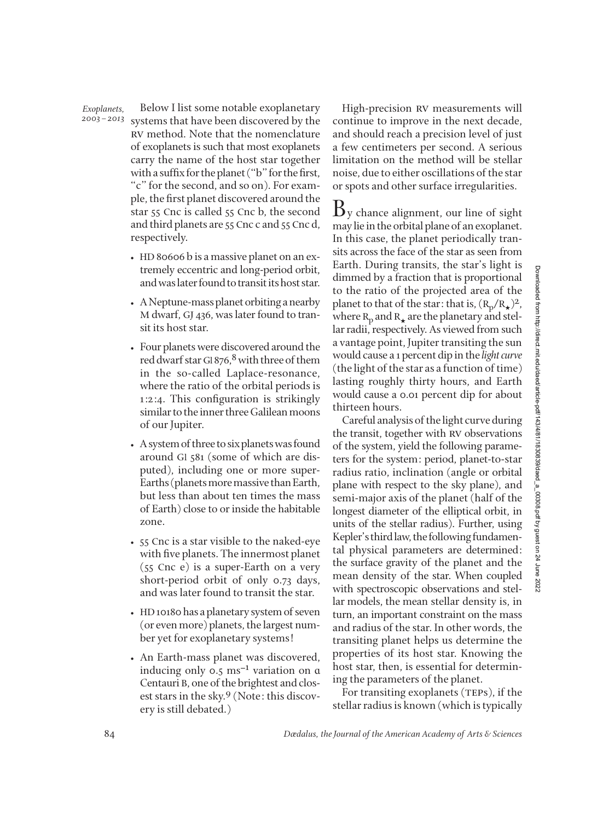#### *Exoplanets, 2003–2013*

Below I list some notable exoplanetary systems that have been discovered by the rv method. Note that the nomenclature of exoplanets is such that most exoplanets carry the name of the host star together with a suffix for the planet ("b" for the first, "c" for the second, and so on). For example, the first planet discovered around the star 55 Cnc is called 55 Cnc b, the second and third planets are 55 Cnc c and 55 Cnc d, respectively.

- HD 80606 b is a massive planet on an extremely eccentric and long-period orbit, and was later found to transit its host star.
- A Neptune-mass planet orbiting a nearby M dwarf, GJ 436, was later found to transit its host star.
- Four planets were discovered around the red dwarf star Gl 876,<sup>8</sup> with three of them in the so-called Laplace-resonance, where the ratio of the orbital periods is 1:2:4. This configuration is strikingly similar to the inner three Galilean moons of our Jupiter.
- A system of three to six planets was found around Gl 581 (some of which are disputed), including one or more super-Earths (planets more massive than Earth, but less than about ten times the mass of Earth) close to or inside the habitable zone.
- 55 Cnc is a star visible to the naked-eye with five planets. The innermost planet (55 Cnc e) is a super-Earth on a very short-period orbit of only 0.73 days, and was later found to transit the star.
- HD10180 has a planetary system of seven (or even more) planets, the largest num ber yet for exoplanetary systems!
- An Earth-mass planet was discovered, inducing only 0.5 ms−1 variation on ɑ Centauri B, one of the brightest and closest stars in the sky.9 (Note: this discovery is still debated.)

High-precision RV measurements will continue to improve in the next decade, and should reach a precision level of just a few centimeters per second. A serious limitation on the method will be stellar noise, due to either oscillations of the star or spots and other surface irregularities.

 $\mathbf{B}_{\text{V}}$  chance alignment, our line of sight may lie in the orbital plane of an exoplanet. In this case, the planet periodically transits across the face of the star as seen from Earth. During transits, the star's light is dimmed by a fraction that is proportional to the ratio of the projected area of the planet to that of the star: that is,  $(R_p/R_\star)^2$ , where  $R_p$  and  $R_{\star}$  are the planetary and stellar radii, respectively. As viewed from such a vantage point, Jupiter transiting the sun would cause a 1 percent dip in the *light curve* (the light of the star as a function of time) lasting roughly thirty hours, and Earth would cause a 0.01 percent dip for about thirteen hours.

Careful analysis of the light curve during the transit, together with RV observations of the system, yield the following parameters for the system: period, planet-to-star radius ratio, inclination (angle or orbital plane with respect to the sky plane), and semi-major axis of the planet (half of the longest diameter of the elliptical orbit, in units of the stellar radius). Further, using Kepler's third law, the following fundamen tal physical parameters are determined: the surface gravity of the planet and the mean density of the star. When coupled with spectroscopic observations and stellar models, the mean stellar density is, in turn, an important constraint on the mass and radius of the star. In other words, the transiting planet helps us determine the properties of its host star. Knowing the host star, then, is essential for determining the parameters of the planet.

For transiting exoplanets (TEPs), if the stellar radius is known (which is typically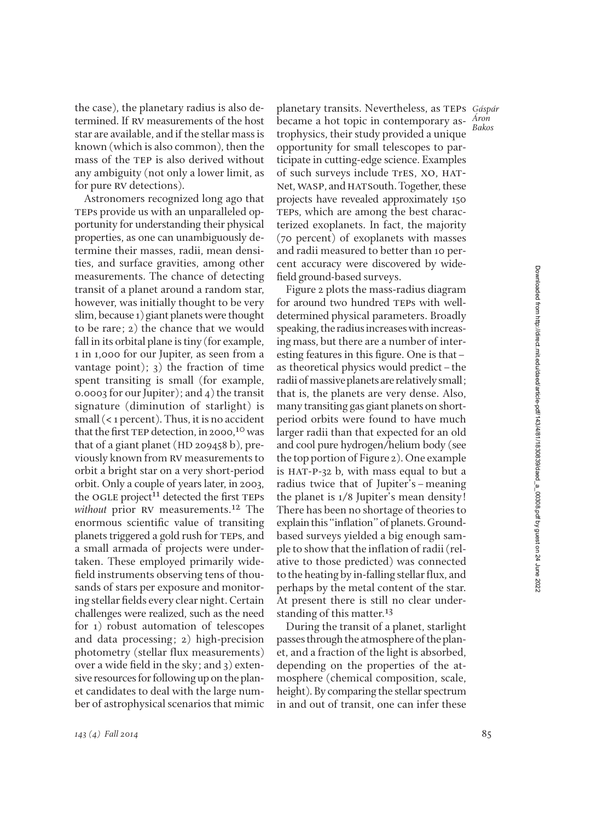the case), the planetary radius is also de termined. If rv measurements of the host star are available, and if the stellar mass is known (which is also common), then the mass of the TEP is also derived without any ambiguity (not only a lower limit, as for pure RV detections).

Astronomers recognized long ago that TEPs provide us with an unparalleled opportunity for understanding their physical properties, as one can unambiguously de termine their masses, radii, mean densities, and surface gravities, among other measurements. The chance of detecting transit of a planet around a random star, however, was initially thought to be very slim, because 1) giant planets were thought to be rare; 2) the chance that we would fall in its orbital plane is tiny (for example, 1 in 1,000 for our Jupiter, as seen from a vantage point);  $3)$  the fraction of time spent transiting is small (for example, 0.0003 for our Jupiter); and 4) the transit signature (diminution of starlight) is small (< 1 percent). Thus, it is no accident that the first TEP detection, in 2000,<sup>10</sup> was that of a giant planet (HD 209458 b), previously known from rv measurements to orbit a bright star on a very short-period orbit. Only a couple of years later, in 2003, the OGLE project<sup>11</sup> detected the first TEPs *without* prior RV measurements.<sup>12</sup> The enormous scientific value of transiting planets triggered a gold rush for TEPs, and a small armada of projects were undertaken. These employed primarily wide field instruments observing tens of thousands of stars per exposure and monitoring stellar fields every clear night. Certain challenges were realized, such as the need for 1) robust automation of telescopes and data processing; 2) high-precision photometry (stellar flux measurements) over a wide field in the sky; and  $3)$  extensive resources for following up on the plan et candidates to deal with the large number of astrophysical scenarios that mimic

planetary transits. Nevertheless, as teps *Gáspár* became a hot topic in contemporary astrophysics, their study provided a unique opportunity for small telescopes to participate in cutting-edge science. Examples of such surveys include tres, xo, hat-Net, WASP, and HATSouth. Together, these projects have revealed approximately 150 TEPs, which are among the best characterized exoplanets. In fact, the majority (70 percent) of exoplanets with masses and radii measured to better than 10 percent accuracy were discovered by wide field ground-based surveys. *Áron Bakos*

Figure 2 plots the mass-radius diagram for around two hundred TEPs with welldetermined physical parameters. Broadly speaking, the radius increases with increas ing mass, but there are a number of interesting features in this figure. One is that – as theoretical physics would predict–the radii of massive planets are relatively small; that is, the planets are very dense. Also, many transiting gas giant planets on shortperiod orbits were found to have much larger radii than that expected for an old and cool pure hydrogen/helium body (see the top portion of Figure 2). One example is HAT-P-32 b, with mass equal to but a radius twice that of Jupiter's–meaning the planet is 1/8 Jupiter's mean density! There has been no shortage of theories to explain this "inflation" of planets. Groundbased surveys yielded a big enough sample to show that the inflation of radii (relative to those predicted) was connected to the heating by in-falling stellar flux, and perhaps by the metal content of the star. At present there is still no clear understanding of this matter.<sup>13</sup>

During the transit of a planet, starlight passes through the atmosphere of the plan et, and a fraction of the light is absorbed, depending on the properties of the atmosphere (chemical composition, scale, height). By comparing the stellar spectrum in and out of transit, one can infer these

85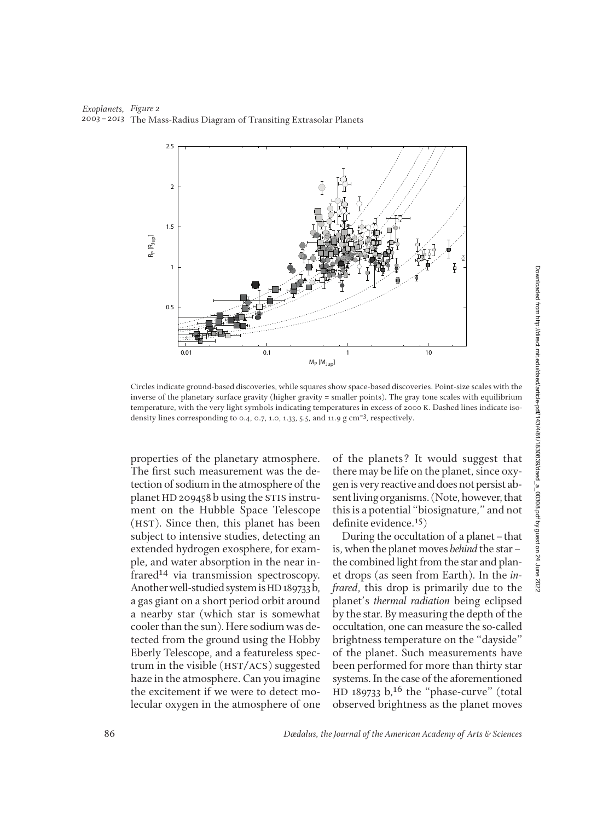*Exoplanets, Figure 2 2003–2013* The Mass-Radius Diagram of Transiting Extrasolar Planets



Circles indicate ground-based discoveries, while squares show space-based discoveries. Point-size scales with the inverse of the planetary surface gravity (higher gravity = smaller points). The gray tone scales with equilibrium temperature, with the very light symbols indicating temperatures in excess of 2000 K. Dashed lines indicate isodensity lines corresponding to 0.4, 0.7, 1.0, 1.33, 5.5, and 11.9 g cm<sup>-3</sup>, respectively.

properties of the planetary atmosphere. The first such measurement was the detection of sodium in the atmosphere of the planet HD 209458 b using the STIS instrument on the Hubble Space Telescope (hst). Since then, this planet has been subject to intensive studies, detecting an extended hydrogen exosphere, for example, and water absorption in the near infrared14 via transmission spectroscopy. Another well-studied system is HD189733 b, a gas giant on a short period orbit around a nearby star (which star is somewhat cooler than the sun). Here sodium was de tected from the ground using the Hobby Eberly Telescope, and a featureless spectrum in the visible (HST/ACS) suggested haze in the atmosphere. Can you imagine the excitement if we were to detect molecular oxygen in the atmosphere of one

of the planets? It would suggest that there may be life on the planet, since oxygen is very reactive and does not persist ab sent living organisms. (Note, however, that this is a potential "biosignature," and not definite evidence. $15$ )

During the occultation of a planet–that is, when the planet moves *behind* the star– the combined light from the star and planet drops (as seen from Earth). In the *in frared*, this drop is primarily due to the plan et's *thermal radiation* being eclipsed by the star. By measuring the depth of the occultation, one can measure the so-called brightness temperature on the "dayside" of the planet. Such measurements have been performed for more than thirty star systems. In the case of the aforementioned  $HD$  189733  $b$ ,<sup>16</sup> the "phase-curve" (total observed brightness as the planet moves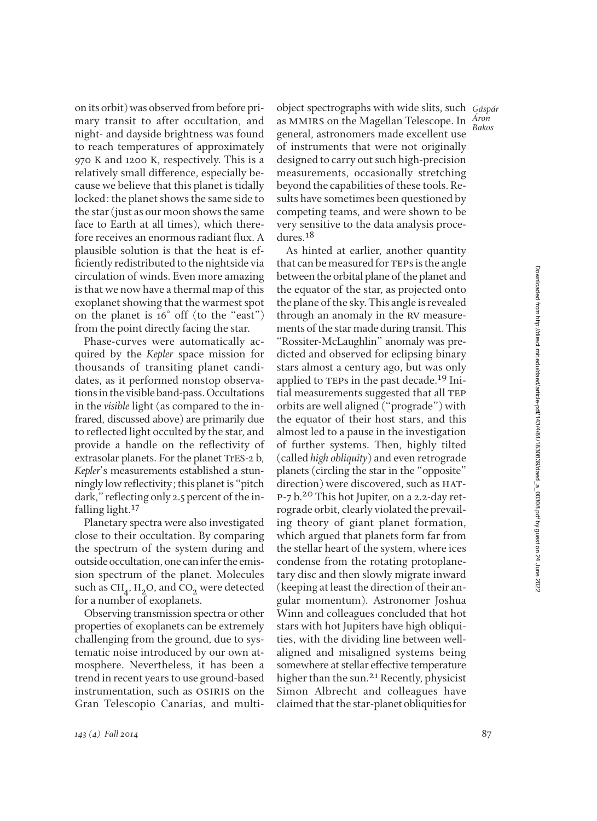on its orbit) was observed from before pri mary transit to after occultation, and night- and dayside brightness was found to reach temperatures of approximately 970 K and 1200 K, respectively. This is a relatively small difference, especially be cause we believe that this planet is tidally locked: the planet shows the same side to the star (just as our moon shows the same face to Earth at all times), which therefore receives an enormous radiant flux. A plausible solution is that the heat is efficiently redistributed to the nightside via circulation of winds. Even more amazing is that we now have a thermal map of this exoplanet showing that the warmest spot on the planet is 16◦ off (to the "east") from the point directly facing the star.

Phase-curves were automatically acquired by the *Kepler* space mission for thousands of transiting planet candidates, as it performed nonstop observations in the visible band-pass. Occultations in the *visible* light (as compared to the infrared, discussed above) are primarily due to reflected light occulted by the star, and provide a handle on the reflectivity of extrasolar planets. For the planet TrES-2 b, *Kepler*'s measurements established a stunningly low reflectivity; this planet is "pitch dark," reflecting only 2.5 percent of the infalling light.17

Planetary spectra were also investigated close to their occultation. By comparing the spectrum of the system during and outside occultation, one can infer the emis sion spectrum of the planet. Molecules such as  $CH<sub>A</sub>$ , H<sub>2</sub>O, and CO<sub>2</sub> were detected for a number of exoplanets.

Observing transmission spectra or other properties of exoplanets can be extremely challenging from the ground, due to systematic noise introduced by our own at mosphere. Nevertheless, it has been a trend in recent years to use ground-based instrumentation, such as OSIRIS on the Gran Telescopio Canarias, and multiobject spectrographs with wide slits, such *Gáspár* as mmirs on the Magellan Telescope. In *Áron*  general, astronomers made excellent use of instruments that were not originally designed to carry out such high-precision measurements, occasionally stretching beyond the capabilities of these tools. Re sults have sometimes been questioned by competing teams, and were shown to be very sensitive to the data analysis procedures.18

As hinted at earlier, another quantity that can be measured for TEPs is the angle between the orbital plane of the planet and the equator of the star, as projected onto the plane of the sky. This angle is revealed through an anomaly in the RV measurements of the star made during transit. This "Rossiter-McLaughlin" anomaly was pre dicted and observed for eclipsing binary stars almost a century ago, but was only applied to TEPs in the past decade.<sup>19</sup> Initial measurements suggested that all TEP orbits are well aligned ("prograde") with the equator of their host stars, and this almost led to a pause in the investigation of further systems. Then, highly tilted (called *high obliquity*) and even retrograde planets (circling the star in the "opposite" direction) were discovered, such as HATp-7 b.<sup>20</sup> This hot Jupiter, on a 2.2-day retrograde orbit, clearly violated the prevailing theory of giant planet formation, which argued that planets form far from the stellar heart of the system, where ices condense from the rotating protoplanetary disc and then slowly migrate inward (keeping at least the direction of their an gular momentum). Astronomer Joshua Winn and colleagues concluded that hot stars with hot Jupiters have high obliquities, with the dividing line between wellaligned and misaligned systems being some where at stellar effective temperature higher than the sun.<sup>21</sup> Recently, physicist Simon Albrecht and colleagues have claimed that the star-planet obliquities for

Downloaded from http://direct.mit.edu/daed/article-pdf/143/4/81/1830839/daed\_a\_00308.pdf by guest on 24 June 2022 Downloaded from http://direct.mit.edu/daed/article-pdf/143/4/81/1830839/daed\_a\_00308.pdf by guest on 24 June 2022

*Bakos*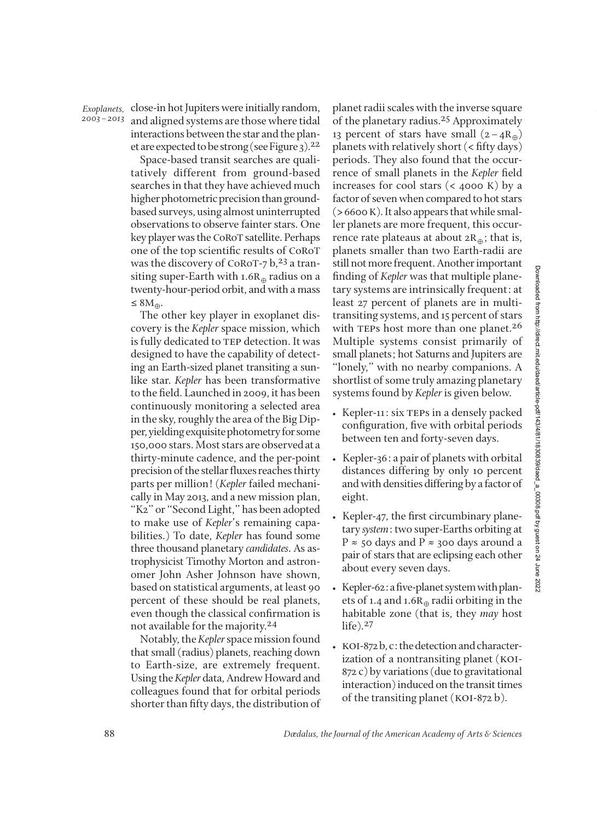*2003–2013*

and aligned systems are those where tidal interactions between the star and the planet are expected to be strong (see Figure 3).<sup>22</sup> *Exoplanets,*

Space-based transit searches are qualitatively different from ground-based searches in that they have achieved much higher photometric precision than groundbased surveys, using almost uninterrupted observations to observe fainter stars. One key player was the CoRoT satellite. Perhaps one of the top scientific results of CoRoT was the discovery of CoRoT-7  $b$ ,<sup>23</sup> a transiting super-Earth with 1.6 $R_{\oplus}$  radius on a twenty-hour-period orbit, and with a mass ≤ 8 $M_{\oplus}$ .

The other key player in exoplanet discovery is the *Kepler* space mission, which is fully dedicated to TEP detection. It was designed to have the capability of detecting an Earth-sized planet transiting a sunlike star. *Kepler* has been transformative to the field. Launched in 2009, it has been continuously monitoring a selected area in the sky, roughly the area of the Big Dipper, yielding exquisite photometry for some 150,000 stars. Most stars are observed at a thirty-minute cadence, and the per-point precision of the stellar fluxes reaches thirty parts per million! (*Kepler* failed mechanically in May 2013, and a new mission plan, "K2" or "Second Light," has been adopted to make use of *Kepler*'s remaining capabilities.) To date, *Kepler* has found some three thousand planetary *can didates*. As as trophysicist Timothy Morton and astron omer John Asher Johnson have shown, based on statistical arguments, at least 90 percent of these should be real planets, even though the classical confirmation is not available for the majority.24

Notably, the *Kepler*space mission found that small (radius) planets, reaching down to Earth-size, are extremely frequent. Using the *Kepler* data, Andrew Howard and colleagues found that for orbital periods shorter than fifty days, the distribution of

close-in hot Jupiters were initially random, *F* planet radii scales with the inverse square of the planetary radius.25 Approximately 13 percent of stars have small  $(2-4R_{\oplus})$ planets with relatively short  $\langle$  < fifty days) periods. They also found that the occurrence of small planets in the *Kepler* field increases for cool stars (< 4000 K) by a factor of seven when compared to hot stars  $($  > 6600 K). It also appears that while smaller planets are more frequent, this occurrence rate plateaus at about  $2R_{\oplus}$ ; that is, planets smaller than two Earth-radii are still not more frequent. Another important finding of *Kepler* was that multiple planetary systems are intrinsically frequent: at least 27 percent of planets are in multitransiting systems, and 15 percent of stars with TEPs host more than one planet.<sup>26</sup> Multiple systems consist primarily of small planets; hot Saturns and Jupiters are "lonely," with no nearby companions. A shortlist of some truly amazing planetary systems found by *Kepler* is given below.

- Kepler-11: six TEPs in a densely packed configuration, five with orbital periods between ten and forty-seven days.
- Kepler-36: a pair of planets with orbital distances differing by only 10 percent and with densities differing by a factor of eight.
- Kepler-47, the first circumbinary planetary *system*: two super-Earths orbiting at P  $\approx$  50 days and P  $\approx$  300 days around a pair of stars that are eclipsing each other about every seven days.
- Kepler-62: a five-planet system with planets of 1.4 and 1.6 $R_{\oplus}$  radii orbiting in the habitable zone (that is, they *may* host life).27
- koi-872 b, c: the detection and characterization of a nontransiting planet (KOI-872 c) by variations (due to gravitational interaction) induced on the transit times of the transiting planet (KOI-872 b).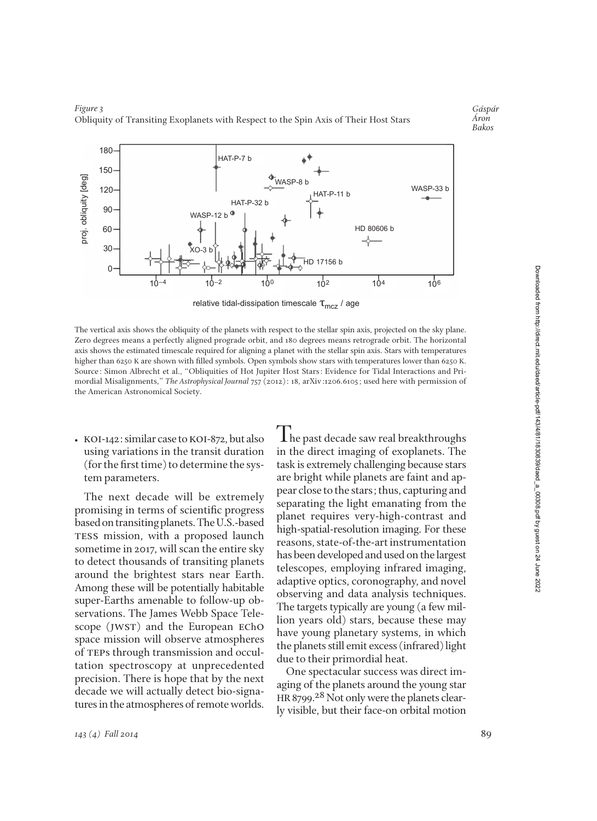180 HAT-P-7 b 150 proj. obliquity [deg] proj. obliquity [deg .<br>WASP-8 b WASP-33 b 120 HAT-P-11 b HAT-P-32 b 90 WASP-12  $b^0$ HD 80606 b 60  $XO-3$ 30 17156 b  $\Omega$ 10–4 10–2 100 102 104 106

relative tidal-dissipation timescale  $\tau_{\text{mcz}}$  / age

The vertical axis shows the obliquity of the planets with respect to the stellar spin axis, projected on the sky plane. Zero degrees means a perfectly aligned prograde orbit, and 180 degrees means retrograde orbit. The horizontal axis shows the estimated timescale required for aligning a planet with the stellar spin axis. Stars with temperatures higher than 6250 K are shown with filled symbols. Open symbols show stars with temperatures lower than 6250 K. Source: Simon Albrecht et al., "Obliquities of Hot Jupiter Host Stars: Evidence for Tidal Interactions and Primordial Misalignments," *The Astrophysical Journal* 757 (2012): 18, arXiv:1206.6105; used here with permission of the American Astronomical Society.

• KOI-142: similar case to KOI-872, but also using variations in the transit duration  $($ for the first time $)$  to determine the system parameters.

The next decade will be extremely promising in terms of scientific progress based on transiting planets. The U.S.-based TESS mission, with a proposed launch sometime in 2017, will scan the entire sky to detect thousands of transiting planets around the brightest stars near Earth. Among these will be potentially habitable super-Earths amenable to follow-up ob servations. The James Webb Space Telescope (JWST) and the European EChO space mission will observe atmospheres of teps through transmission and occultation spectroscopy at unprecedented precision. There is hope that by the next decade we will actually detect bio-signatures in the atmospheres of remote worlds.

**The past decade saw real breakthroughs** in the direct imaging of exoplanets. The task is extremely challenging because stars are bright while planets are faint and appear close to the stars; thus, capturing and separating the light emanating from the planet requires very-high-contrast and high-spatial-resolution imaging. For these reasons, state-of-the-art instrumentation has been developed and used on the largest telescopes, employing infrared imaging, adaptive optics, coronography, and novel observing and data analysis techniques. The targets typically are young (a few mil lion years old) stars, because these may have young planetary systems, in which the planets still emit excess (infrared) light due to their primordial heat.

One spectacular success was direct im aging of the planets around the young star HR 8799.<sup>28</sup> Not only were the planets clearly visible, but their face-on orbital motion



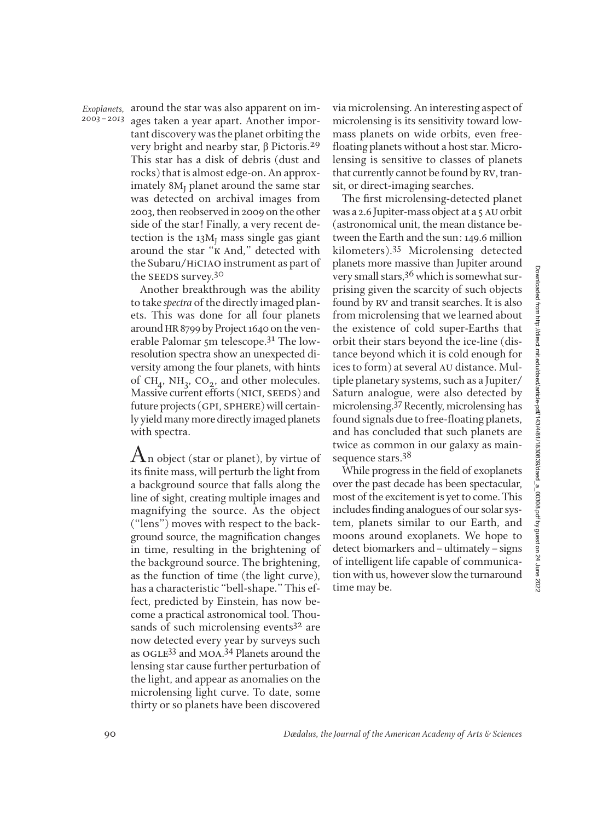*2003–2013*

Exoplanets, around the star was also apparent on images taken a year apart. Another important discovery was the planet orbiting the very bright and nearby star, β Pictoris.29 This star has a disk of debris (dust and rocks) that is almost edge-on. An approximately  $8M<sub>I</sub>$  planet around the same star was detected on archival images from 2003, then reobserved in 2009 on the other side of the star! Finally, a very recent detection is the  $13M<sub>I</sub>$  mass single gas giant around the star "к And," detected with the Subaru/hiciao instrument as part of the SEEDS survey.<sup>30</sup>

> Another breakthrough was the ability to take *spectra* of the directly imaged planets. This was done for all four planets around HR8799 by Project 1640 on the ven erable Palomar 5m telescope.31 The lowresolution spectra show an unexpected diversity among the four planets, with hints of CH<sub>4</sub>, NH<sub>3</sub>, CO<sub>2</sub>, and other molecules. Massive current efforts (NICI, SEEDS) and future projects (GPI, SPHERE) will certainly yield many more directly imaged planets with spectra.

> $A_n$  object (star or planet), by virtue of its finite mass, will perturb the light from a background source that falls along the line of sight, creating multiple images and magnifying the source. As the object ("lens") moves with respect to the background source, the magnification changes in time, resulting in the brightening of the background source. The brightening, as the function of time (the light curve), has a characteristic "bell-shape." This effect, predicted by Einstein, has now be come a practical astronomical tool. Thousands of such microlensing events<sup>32</sup> are now detected every year by surveys such as OGLE<sup>33</sup> and MOA.<sup>34</sup> Planets around the lensing star cause further perturbation of the light, and appear as anomalies on the microlensing light curve. To date, some thirty or so planets have been discovered

via microlensing. An interesting aspect of microlensing is its sensitivity toward lowmass planets on wide orbits, even freefloating planets without a host star. Microlensing is sensitive to classes of planets that currently cannot be found by rv, transit, or direct-imaging searches.

The first microlensing-detected planet was a 2.6 Jupiter-mass object at a 5 AU orbit (astronomical unit, the mean distance be tween the Earth and the sun: 149.6 million kilometers).35 Microlensing detected planets more massive than Jupiter around very small stars,<sup>36</sup> which is somewhat surprising given the scarcity of such objects found by rv and transit searches. It is also from microlensing that we learned about the existence of cold super-Earths that orbit their stars beyond the ice-line (distance beyond which it is cold enough for ices to form) at several AU distance. Multiple planetary systems, such as a Jupiter/ Saturn analogue, were also detected by microlensing.37Recently, microlensing has found signals due to free-floating planets, and has concluded that such planets are twice as common in our galaxy as mainsequence stars.<sup>38</sup>

While progress in the field of exoplanets over the past decade has been spectacular, most of the excitement is yet to come. This includes finding analogues of our solar system, planets similar to our Earth, and moons around exoplanets. We hope to detect biomarkers and–ultimately–signs of intelligent life capable of communication with us, however slow the turnaround time may be.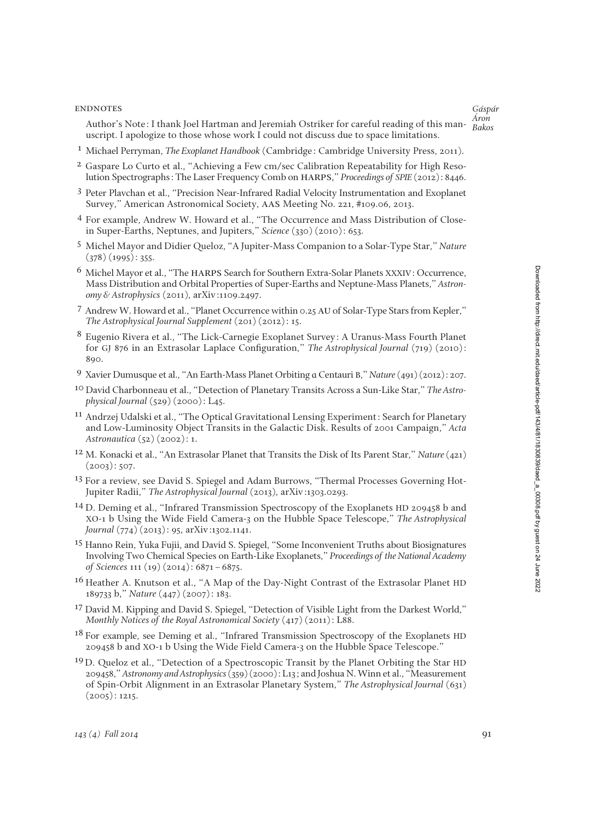### **ENDNOTES**

Author's Note: I thank Joel Hartman and Jeremiah Ostriker for careful reading of this manuscript. I apologize to those whose work I could not discuss due to space limitations.

- 1 Michael Perryman, *The Exoplanet Handbook* (Cambridge: Cambridge University Press, 2011).
- 2 Gaspare Lo Curto et al., "Achieving a Few cm/sec Calibration Repeatability for High Resolution Spectrographs: The Laser Frequency Comb on harps," *Proceedings of SPIE* (2012): 8446.
- 3 Peter Plavchan et al., "Precision Near-Infrared Radial Velocity Instrumentation and Exoplanet Survey," American Astronomical Society, aas Meeting No. 221, #109.06, 2013.
- 4 For example, Andrew W. Howard et al., "The Occurrence and Mass Distribution of Closein Super-Earths, Neptunes, and Jupiters," *Science* (330) (2010): 653.
- 5 Michel Mayor and Didier Queloz, "A Jupiter-Mass Companion to a Solar-Type Star," *Nature*  $(378)(1995):355.$
- <sup>6</sup> Michel Mayor et al., "The harps Search for Southern Extra-Solar Planets XXXIV: Occurrence, Mass Distribution and Orbital Properties of Super-Earths and Neptune-Mass Planets," *Astronomy & Astrophysics* (2011), arXiv:1109.2497.
- 7 Andrew W. Howard et al., "Planet Occurrence within 0.25 AU of Solar-Type Stars from Kepler," *The Astrophysical Journal Supplement* (201) (2012): 15.
- 8 Eugenio Rivera et al., "The Lick-Carnegie Exoplanet Survey: A Uranus-Mass Fourth Planet for GJ 876 in an Extrasolar Laplace Configuration," *The Astrophysical Journal* (719) (2010): 890.
- 9 Xavier Dumusque et al., "An Earth-Mass Planet Orbiting ɑ Centauri B," *Nature*(491) (2012): 207.
- 10 David Charbonneau et al., "Detection of Planetary Transits Across a Sun-Like Star," *The Astro physical Journal* (529) (2000): L45.
- 11 Andrzej Udalski et al., "The Optical Gravitational Lensing Experiment: Search for Planetary and Low-Luminosity Object Transits in the Galactic Disk. Results of 2001 Campaign," *Acta Astronautica* (52) (2002): 1.
- 12 M. Konacki et al., "An Extrasolar Planet that Transits the Disk of Its Parent Star," *Nature* (421)  $(2003): 507.$
- <sup>13</sup> For a review, see David S. Spiegel and Adam Burrows, "Thermal Processes Governing Hot-Jupiter Radii," *The Astrophysical Journal* (2013), arXiv:1303.0293.
- 14 D. Deming et al., "Infrared Transmission Spectroscopy of the Exoplanets HD 209458 b and XO-1 b Using the Wide Field Camera-3 on the Hubble Space Telescope," *The Astrophysical Journal* (774) (2013): 95, arXiv:1302.1141.
- 15 Hanno Rein, Yuka Fujii, and David S. Spiegel, "Some Inconvenient Truths about Biosignatures Involving Two Chemical Species on Earth-Like Exoplanets," *Proceedings of the National Academy of Sciences* 111 (19) (2014): 6871–6875.
- 16 Heather A. Knutson et al., "A Map of the Day-Night Contrast of the Extrasolar Planet HD 189733 b," *Nature* (447) (2007): 183.
- <sup>17</sup> David M. Kipping and David S. Spiegel, "Detection of Visible Light from the Darkest World," *Monthly Notices of the Royal Astronomical Society* (417) (2011): L88.
- 18 For example, see Deming et al., "Infrared Transmission Spectroscopy of the Exoplanets HD 209458 b and XO-1 b Using the Wide Field Camera-3 on the Hubble Space Telescope."
- <sup>19</sup>D. Queloz et al., "Detection of a Spectroscopic Transit by the Planet Orbiting the Star HD 209458," *Astronomy and Astrophysics*(359) (2000): L13; and Joshua N. Winn et al., "Measurement of Spin-Orbit Alignment in an Extrasolar Planetary System," *The Astrophysical Journal* (631)  $(2005): 1215.$

*Gáspár Áron Bakos*